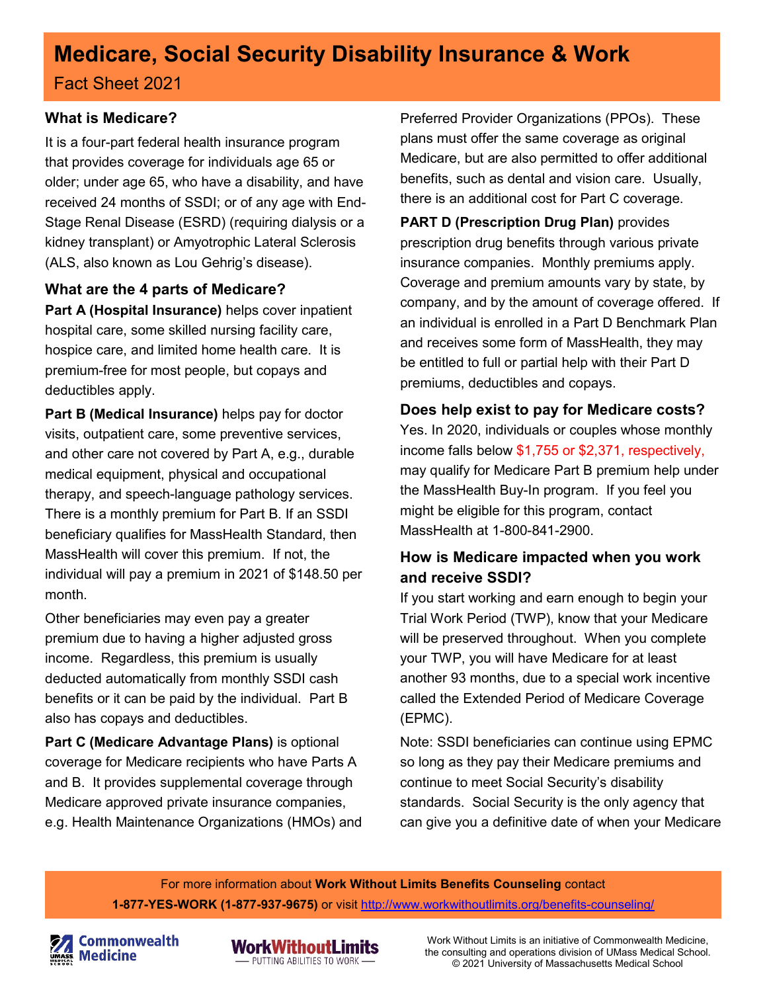# **Medicare, Social Security Disability Insurance & Work**

Fact Sheet 2021

## **What is Medicare?**

It is a four-part federal health insurance program that provides coverage for individuals age 65 or older; under age 65, who have a disability, and have received 24 months of SSDI; or of any age with End-Stage Renal Disease (ESRD) (requiring dialysis or a kidney transplant) or Amyotrophic Lateral Sclerosis (ALS, also known as Lou Gehrig's disease).

#### **What are the 4 parts of Medicare?**

**Part A (Hospital Insurance)** helps cover inpatient hospital care, some skilled nursing facility care, hospice care, and limited home health care. It is premium-free for most people, but copays and deductibles apply.

**Part B (Medical Insurance)** helps pay for doctor visits, outpatient care, some preventive services, and other care not covered by Part A, e.g., durable medical equipment, physical and occupational therapy, and speech-language pathology services. There is a monthly premium for Part B. If an SSDI beneficiary qualifies for MassHealth Standard, then MassHealth will cover this premium. If not, the individual will pay a premium in 2021 of \$148.50 per month.

Other beneficiaries may even pay a greater premium due to having a higher adjusted gross income. Regardless, this premium is usually deducted automatically from monthly SSDI cash benefits or it can be paid by the individual. Part B also has copays and deductibles.

**Part C (Medicare Advantage Plans)** is optional coverage for Medicare recipients who have Parts A and B. It provides supplemental coverage through Medicare approved private insurance companies, e.g. Health Maintenance Organizations (HMOs) and

Preferred Provider Organizations (PPOs). These plans must offer the same coverage as original Medicare, but are also permitted to offer additional benefits, such as dental and vision care. Usually, there is an additional cost for Part C coverage.

**PART D (Prescription Drug Plan)** provides prescription drug benefits through various private insurance companies. Monthly premiums apply. Coverage and premium amounts vary by state, by company, and by the amount of coverage offered. If an individual is enrolled in a Part D Benchmark Plan and receives some form of MassHealth, they may be entitled to full or partial help with their Part D premiums, deductibles and copays.

# **Does help exist to pay for Medicare costs?**

Yes. In 2020, individuals or couples whose monthly income falls below \$1,755 or \$2,371, respectively, may qualify for Medicare Part B premium help under the MassHealth Buy-In program. If you feel you might be eligible for this program, contact MassHealth at 1-800-841-2900.

## **How is Medicare impacted when you work and receive SSDI?**

If you start working and earn enough to begin your Trial Work Period (TWP), know that your Medicare will be preserved throughout. When you complete your TWP, you will have Medicare for at least another 93 months, due to a special work incentive called the Extended Period of Medicare Coverage (EPMC).

Note: SSDI beneficiaries can continue using EPMC so long as they pay their Medicare premiums and continue to meet Social Security's disability standards. Social Security is the only agency that can give you a definitive date of when your Medicare

For more information about **Work Without Limits Benefits Counseling** contact **1-877-YES-WORK (1-877-937-9675)** or visit<http://www.workwithoutlimits.org/benefits-counseling/>



**Commonwealth Medicine** 



Work Without Limits is an initiative of Commonwealth Medicine, the consulting and operations division of UMass Medical School. © 2021 University of Massachusetts Medical School